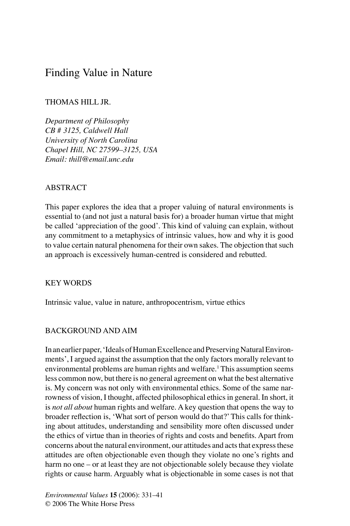# Finding Value in Nature

# THOMAS HILL JR.

Department of Philosophy CB # 3125, Caldwell Hall University of North Carolina Chapel Hill, NC 27599-3125, USA Email: thill@email.unc.edu

# **ABSTRACT**

This paper explores the idea that a proper valuing of natural environments is essential to (and not just a natural basis for) a broader human virtue that might be called 'appreciation of the good'. This kind of valuing can explain, without any commitment to a metaphysics of intrinsic values, how and why it is good to value certain natural phenomena for their own sakes. The objection that such an approach is excessively human-centred is considered and rebutted.

# **KEY WORDS**

Intrinsic value, value in nature, anthropocentrism, virtue ethics

# **BACKGROUND AND AIM**

In an earlier paper, 'Ideals of Human Excellence and Preserving Natural Environments', I argued against the assumption that the only factors morally relevant to environmental problems are human rights and welfare.<sup>1</sup> This assumption seems less common now, but there is no general agreement on what the best alternative is. My concern was not only with environmental ethics. Some of the same narrowness of vision, I thought, affected philosophical ethics in general. In short, it is not all about human rights and welfare. A key question that opens the way to broader reflection is, 'What sort of person would do that?' This calls for thinking about attitudes, understanding and sensibility more often discussed under the ethics of virtue than in theories of rights and costs and benefits. Apart from concerns about the natural environment, our attitudes and acts that express these attitudes are often objectionable even though they violate no one's rights and harm no one – or at least they are not objectionable solely because they violate rights or cause harm. Arguably what is objectionable in some cases is not that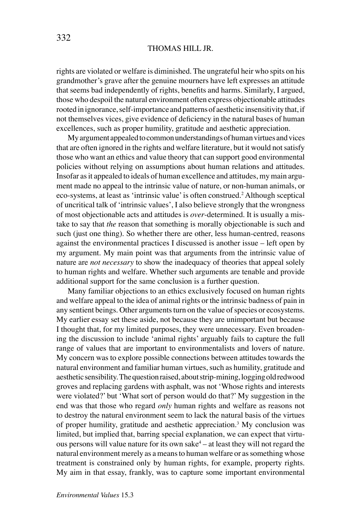rights are violated or welfare is diminished. The ungrateful heir who spits on his grandmother's grave after the genuine mourners have left expresses an attitude that seems bad independently of rights, benefits and harms. Similarly, I argued, those who despoil the natural environment often express objectionable attitudes rooted in ignorance, self-importance and patterns of aesthetic insensitivity that, if not themselves vices, give evidence of deficiency in the natural bases of human excellences, such as proper humility, gratitude and aesthetic appreciation.

My argument appealed to common understandings of human virtues and vices that are often ignored in the rights and welfare literature, but it would not satisfy those who want an ethics and value theory that can support good environmental policies without relying on assumptions about human relations and attitudes. Insofar as it appealed to ideals of human excellence and attitudes, my main argument made no appeal to the intrinsic value of nature, or non-human animals, or eco-systems, at least as 'intrinsic value' is often construed.<sup>2</sup> Although sceptical of uncritical talk of 'intrinsic values', I also believe strongly that the wrongness of most objectionable acts and attitudes is over-determined. It is usually a mistake to say that the reason that something is morally objectionable is such and such (just one thing). So whether there are other, less human-centred, reasons against the environmental practices I discussed is another issue - left open by my argument. My main point was that arguments from the intrinsic value of nature are not necessary to show the inadequacy of theories that appeal solely to human rights and welfare. Whether such arguments are tenable and provide additional support for the same conclusion is a further question.

Many familiar objections to an ethics exclusively focused on human rights and welfare appeal to the idea of animal rights or the intrinsic badness of pain in any sentient beings. Other arguments turn on the value of species or ecosystems. My earlier essay set these aside, not because they are unimportant but because I thought that, for my limited purposes, they were unnecessary. Even broadening the discussion to include 'animal rights' arguably fails to capture the full range of values that are important to environmentalists and lovers of nature. My concern was to explore possible connections between attitudes towards the natural environment and familiar human virtues, such as humility, gratitude and aesthetic sensibility. The question raised, about strip-mining, logging old redwood groves and replacing gardens with asphalt, was not 'Whose rights and interests were violated?' but 'What sort of person would do that?' My suggestion in the end was that those who regard only human rights and welfare as reasons not to destroy the natural environment seem to lack the natural basis of the virtues of proper humility, gratitude and aesthetic appreciation.<sup>3</sup> My conclusion was limited, but implied that, barring special explanation, we can expect that virtuous persons will value nature for its own sake<sup>4</sup> - at least they will not regard the natural environment merely as a means to human welfare or as something whose treatment is constrained only by human rights, for example, property rights. My aim in that essay, frankly, was to capture some important environmental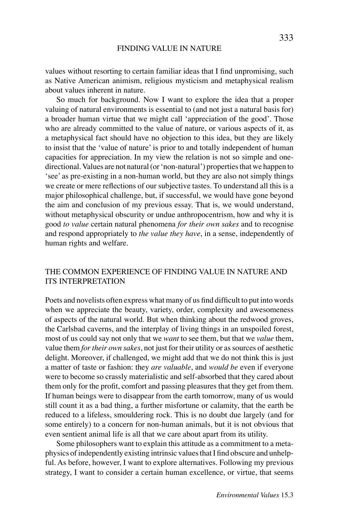values without resorting to certain familiar ideas that I find unpromising, such as Native American animism, religious mysticism and metaphysical realism about values inherent in nature.

So much for background. Now I want to explore the idea that a proper valuing of natural environments is essential to (and not just a natural basis for) a broader human virtue that we might call 'appreciation of the good'. Those who are already committed to the value of nature, or various aspects of it, as a metaphysical fact should have no objection to this idea, but they are likely to insist that the 'value of nature' is prior to and totally independent of human capacities for appreciation. In my view the relation is not so simple and onedirectional. Values are not natural (or 'non-natural') properties that we happen to 'see' as pre-existing in a non-human world, but they are also not simply things we create or mere reflections of our subjective tastes. To understand all this is a major philosophical challenge, but, if successful, we would have gone beyond the aim and conclusion of my previous essay. That is, we would understand, without metaphysical obscurity or undue anthropocentrism, how and why it is good to value certain natural phenomena for their own sakes and to recognise and respond appropriately to the value they have, in a sense, independently of human rights and welfare.

# THE COMMON EXPERIENCE OF FINDING VALUE IN NATURE AND **ITS INTERPRETATION**

Poets and novelists often express what many of us find difficult to put into words when we appreciate the beauty, variety, order, complexity and awesomeness of aspects of the natural world. But when thinking about the redwood groves, the Carlsbad caverns, and the interplay of living things in an unspoiled forest, most of us could say not only that we want to see them, but that we value them, value them for their own sakes, not just for their utility or as sources of aesthetic delight. Moreover, if challenged, we might add that we do not think this is just a matter of taste or fashion: they are valuable, and would be even if everyone were to become so crassly materialistic and self-absorbed that they cared about them only for the profit, comfort and passing pleasures that they get from them. If human beings were to disappear from the earth tomorrow, many of us would still count it as a bad thing, a further misfortune or calamity, that the earth be reduced to a lifeless, smouldering rock. This is no doubt due largely (and for some entirely) to a concern for non-human animals, but it is not obvious that even sentient animal life is all that we care about apart from its utility.

Some philosophers want to explain this attitude as a commitment to a metaphysics of independently existing intrinsic values that I find obscure and unhelpful. As before, however, I want to explore alternatives. Following my previous strategy, I want to consider a certain human excellence, or virtue, that seems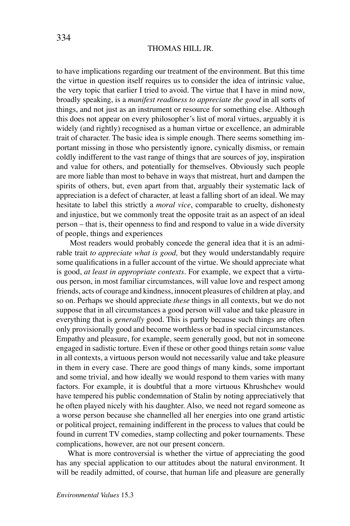to have implications regarding our treatment of the environment. But this time the virtue in question itself requires us to consider the idea of intrinsic value, the very topic that earlier I tried to avoid. The virtue that I have in mind now, broadly speaking, is a manifest readiness to appreciate the good in all sorts of things, and not just as an instrument or resource for something else. Although this does not appear on every philosopher's list of moral virtues, arguably it is widely (and rightly) recognised as a human virtue or excellence, an admirable trait of character. The basic idea is simple enough. There seems something important missing in those who persistently ignore, cynically dismiss, or remain coldly indifferent to the vast range of things that are sources of joy, inspiration and value for others, and potentially for themselves. Obviously such people are more liable than most to behave in ways that mistreat, hurt and dampen the spirits of others, but, even apart from that, arguably their systematic lack of appreciation is a defect of character, at least a falling short of an ideal. We may hesitate to label this strictly a moral vice, comparable to cruelty, dishonesty and injustice, but we commonly treat the opposite trait as an aspect of an ideal person – that is, their openness to find and respond to value in a wide diversity of people, things and experiences

Most readers would probably concede the general idea that it is an admirable trait to appreciate what is good, but they would understandably require some qualifications in a fuller account of the virtue. We should appreciate what is good, at least in appropriate contexts. For example, we expect that a virtuous person, in most familiar circumstances, will value love and respect among friends, acts of courage and kindness, innocent pleasures of children at play, and so on. Perhaps we should appreciate these things in all contexts, but we do not suppose that in all circumstances a good person will value and take pleasure in everything that is *generally* good. This is partly because such things are often only provisionally good and become worthless or bad in special circumstances. Empathy and pleasure, for example, seem generally good, but not in someone engaged in sadistic torture. Even if these or other good things retain some value in all contexts, a virtuous person would not necessarily value and take pleasure in them in every case. There are good things of many kinds, some important and some trivial, and how ideally we would respond to them varies with many factors. For example, it is doubtful that a more virtuous Khrushchev would have tempered his public condemnation of Stalin by noting appreciatively that he often played nicely with his daughter. Also, we need not regard someone as a worse person because she channelled all her energies into one grand artistic or political project, remaining indifferent in the process to values that could be found in current TV comedies, stamp collecting and poker tournaments. These complications, however, are not our present concern.

What is more controversial is whether the virtue of appreciating the good has any special application to our attitudes about the natural environment. It will be readily admitted, of course, that human life and pleasure are generally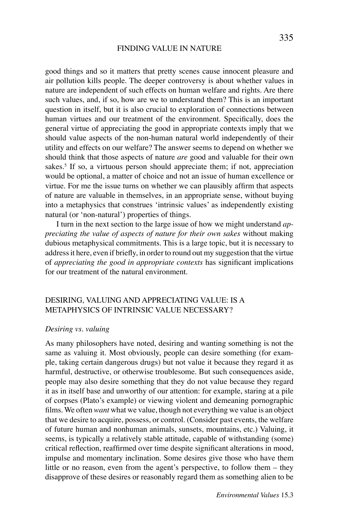## FINDING VALUE IN NATURE

good things and so it matters that pretty scenes cause innocent pleasure and air pollution kills people. The deeper controversy is about whether values in nature are independent of such effects on human welfare and rights. Are there such values, and, if so, how are we to understand them? This is an important question in itself, but it is also crucial to exploration of connections between human virtues and our treatment of the environment. Specifically, does the general virtue of appreciating the good in appropriate contexts imply that we should value aspects of the non-human natural world independently of their utility and effects on our welfare? The answer seems to depend on whether we should think that those aspects of nature are good and valuable for their own sakes.<sup>5</sup> If so, a virtuous person should appreciate them; if not, appreciation would be optional, a matter of choice and not an issue of human excellence or virtue. For me the issue turns on whether we can plausibly affirm that aspects of nature are valuable in themselves, in an appropriate sense, without buying into a metaphysics that construes 'intrinsic values' as independently existing natural (or 'non-natural') properties of things.

I turn in the next section to the large issue of how we might understand appreciating the value of aspects of nature for their own sakes without making dubious metaphysical commitments. This is a large topic, but it is necessary to address it here, even if briefly, in order to round out my suggestion that the virtue of appreciating the good in appropriate contexts has significant implications for our treatment of the natural environment.

# DESIRING, VALUING AND APPRECIATING VALUE: IS A METAPHYSICS OF INTRINSIC VALUE NECESSARY?

## Desiring vs. valuing

As many philosophers have noted, desiring and wanting something is not the same as valuing it. Most obviously, people can desire something (for example, taking certain dangerous drugs) but not value it because they regard it as harmful, destructive, or otherwise troublesome. But such consequences aside, people may also desire something that they do not value because they regard it as in itself base and unworthy of our attention: for example, staring at a pile of corpses (Plato's example) or viewing violent and demeaning pornographic films. We often want what we value, though not everything we value is an object that we desire to acquire, possess, or control. (Consider past events, the welfare of future human and nonhuman animals, sunsets, mountains, etc.) Valuing, it seems, is typically a relatively stable attitude, capable of withstanding (some) critical reflection, reaffirmed over time despite significant alterations in mood, impulse and momentary inclination. Some desires give those who have them little or no reason, even from the agent's perspective, to follow them  $-$  they disapprove of these desires or reasonably regard them as something alien to be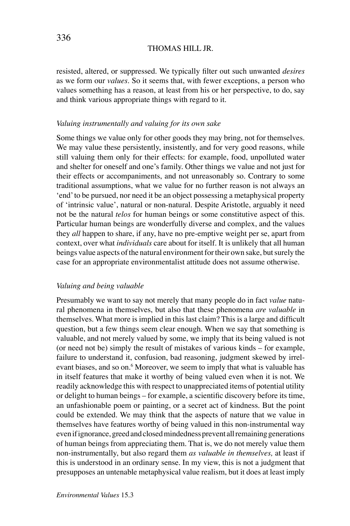resisted, altered, or suppressed. We typically filter out such unwanted *desires* as we form our *values*. So it seems that, with fewer exceptions, a person who values something has a reason, at least from his or her perspective, to do, say and think various appropriate things with regard to it.

## Valuing instrumentally and valuing for its own sake

Some things we value only for other goods they may bring, not for themselves. We may value these persistently, insistently, and for very good reasons, while still valuing them only for their effects: for example, food, unpolluted water and shelter for oneself and one's family. Other things we value and not just for their effects or accompaniments, and not unreasonably so. Contrary to some traditional assumptions, what we value for no further reason is not always an 'end' to be pursued, nor need it be an object possessing a metaphysical property of 'intrinsic value', natural or non-natural. Despite Aristotle, arguably it need not be the natural *telos* for human beings or some constitutive aspect of this. Particular human beings are wonderfully diverse and complex, and the values they all happen to share, if any, have no pre-emptive weight per se, apart from context, over what *individuals* care about for itself. It is unlikely that all human beings value aspects of the natural environment for their own sake, but surely the case for an appropriate environmentalist attitude does not assume otherwise.

# Valuing and being valuable

Presumably we want to say not merely that many people do in fact value natural phenomena in themselves, but also that these phenomena are valuable in themselves. What more is implied in this last claim? This is a large and difficult question, but a few things seem clear enough. When we say that something is valuable, and not merely valued by some, we imply that its being valued is not (or need not be) simply the result of mistakes of various kinds – for example, failure to understand it, confusion, bad reasoning, judgment skewed by irrelevant biases, and so on.<sup>6</sup> Moreover, we seem to imply that what is valuable has in itself features that make it worthy of being valued even when it is not. We readily acknowledge this with respect to unappreciated items of potential utility or delight to human beings – for example, a scientific discovery before its time, an unfashionable poem or painting, or a secret act of kindness. But the point could be extended. We may think that the aspects of nature that we value in themselves have features worthy of being valued in this non-instrumental way even if ignorance, greed and closed mindedness prevent all remaining generations of human beings from appreciating them. That is, we do not merely value them non-instrumentally, but also regard them as valuable in themselves, at least if this is understood in an ordinary sense. In my view, this is not a judgment that presupposes an untenable metaphysical value realism, but it does at least imply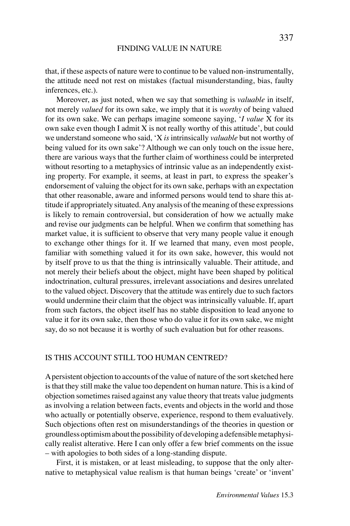that, if these aspects of nature were to continue to be valued non-instrumentally, the attitude need not rest on mistakes (factual misunderstanding, bias, faulty inferences, etc.).

Moreover, as just noted, when we say that something is *valuable* in itself, not merely valued for its own sake, we imply that it is worthy of being valued for its own sake. We can perhaps imagine someone saying, '*I value* X for its own sake even though I admit X is not really worthy of this attitude', but could we understand someone who said, 'X is intrinsically valuable but not worthy of being valued for its own sake'? Although we can only touch on the issue here, there are various ways that the further claim of worthiness could be interpreted without resorting to a metaphysics of intrinsic value as an independently existing property. For example, it seems, at least in part, to express the speaker's endorsement of valuing the object for its own sake, perhaps with an expectation that other reasonable, aware and informed persons would tend to share this attitude if appropriately situated. Any analysis of the meaning of these expressions is likely to remain controversial, but consideration of how we actually make and revise our judgments can be helpful. When we confirm that something has market value, it is sufficient to observe that very many people value it enough to exchange other things for it. If we learned that many, even most people, familiar with something valued it for its own sake, however, this would not by itself prove to us that the thing is intrinsically valuable. Their attitude, and not merely their beliefs about the object, might have been shaped by political indoctrination, cultural pressures, irrelevant associations and desires unrelated to the valued object. Discovery that the attitude was entirely due to such factors would undermine their claim that the object was intrinsically valuable. If, apart from such factors, the object itself has no stable disposition to lead anyone to value it for its own sake, then those who do value it for its own sake, we might say, do so not because it is worthy of such evaluation but for other reasons.

## IS THIS ACCOUNT STILL TOO HUMAN CENTRED?

A persistent objection to accounts of the value of nature of the sort sketched here is that they still make the value too dependent on human nature. This is a kind of objection sometimes raised against any value theory that treats value judgments as involving a relation between facts, events and objects in the world and those who actually or potentially observe, experience, respond to them evaluatively. Such objections often rest on misunderstandings of the theories in question or groundless optimism about the possibility of developing a defensible metaphysically realist alterative. Here I can only offer a few brief comments on the issue - with apologies to both sides of a long-standing dispute.

First, it is mistaken, or at least misleading, to suppose that the only alternative to metaphysical value realism is that human beings 'create' or 'invent'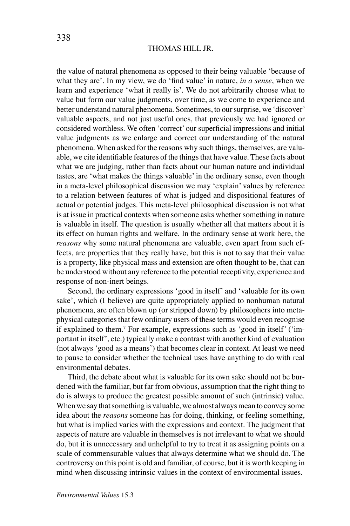the value of natural phenomena as opposed to their being valuable 'because of what they are'. In my view, we do 'find value' in nature, *in a sense*, when we learn and experience 'what it really is'. We do not arbitrarily choose what to value but form our value judgments, over time, as we come to experience and better understand natural phenomena. Sometimes, to our surprise, we 'discover' valuable aspects, and not just useful ones, that previously we had ignored or considered worthless. We often 'correct' our superficial impressions and initial value judgments as we enlarge and correct our understanding of the natural phenomena. When asked for the reasons why such things, themselves, are valuable, we cite identifiable features of the things that have value. These facts about what we are judging, rather than facts about our human nature and individual tastes, are 'what makes the things valuable' in the ordinary sense, even though in a meta-level philosophical discussion we may 'explain' values by reference to a relation between features of what is judged and dispositional features of actual or potential judges. This meta-level philosophical discussion is not what is at issue in practical contexts when someone asks whether something in nature is valuable in itself. The question is usually whether all that matters about it is its effect on human rights and welfare. In the ordinary sense at work here, the reasons why some natural phenomena are valuable, even apart from such effects, are properties that they really have, but this is not to say that their value is a property, like physical mass and extension are often thought to be, that can be understood without any reference to the potential receptivity, experience and response of non-inert beings.

Second, the ordinary expressions 'good in itself' and 'valuable for its own sake', which (I believe) are quite appropriately applied to nonhuman natural phenomena, are often blown up (or stripped down) by philosophers into metaphysical categories that few ordinary users of these terms would even recognise if explained to them.<sup>7</sup> For example, expressions such as 'good in itself' ('important in itself', etc.) typically make a contrast with another kind of evaluation (not always 'good as a means') that becomes clear in context. At least we need to pause to consider whether the technical uses have anything to do with real environmental debates.

Third, the debate about what is valuable for its own sake should not be burdened with the familiar, but far from obvious, assumption that the right thing to do is always to produce the greatest possible amount of such (intrinsic) value. When we say that something is valuable, we almost always mean to convey some idea about the reasons someone has for doing, thinking, or feeling something, but what is implied varies with the expressions and context. The judgment that aspects of nature are valuable in themselves is not irrelevant to what we should do, but it is unnecessary and unhelpful to try to treat it as assigning points on a scale of commensurable values that always determine what we should do. The controversy on this point is old and familiar, of course, but it is worth keeping in mind when discussing intrinsic values in the context of environmental issues.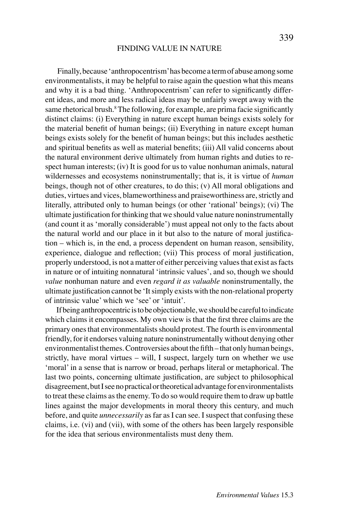#### FINDING VALUE IN NATURE

Finally, because 'anthropocentrism' has become a term of abuse among some environmentalists, it may be helpful to raise again the question what this means and why it is a bad thing. 'Anthropocentrism' can refer to significantly different ideas, and more and less radical ideas may be unfairly swept away with the same rhetorical brush.<sup>8</sup> The following, for example, are prima facie significantly distinct claims: (i) Everything in nature except human beings exists solely for the material benefit of human beings; (ii) Everything in nature except human beings exists solely for the benefit of human beings; but this includes aesthetic and spiritual benefits as well as material benefits; (iii) All valid concerns about the natural environment derive ultimately from human rights and duties to respect human interests; (iv) It is good for us to value nonhuman animals, natural wildernesses and ecosystems noninstrumentally; that is, it is virtue of human beings, though not of other creatures, to do this; (v) All moral obligations and duties, virtues and vices, blameworthiness and praiseworthiness are, strictly and literally, attributed only to human beings (or other 'rational' beings); (vi) The ultimate justification for thinking that we should value nature noninstrumentally (and count it as 'morally considerable') must appeal not only to the facts about the natural world and our place in it but also to the nature of moral justification - which is, in the end, a process dependent on human reason, sensibility, experience, dialogue and reflection; (vii) This process of moral justification, properly understood, is not a matter of either perceiving values that exist as facts in nature or of intuiting nonnatural 'intrinsic values', and so, though we should value nonhuman nature and even regard it as valuable noninstrumentally, the ultimate justification cannot be 'It simply exists with the non-relational property of intrinsic value' which we 'see' or 'intuit'.

If being anthropocentric is to be objectionable, we should be careful to indicate which claims it encompasses. My own view is that the first three claims are the primary ones that environmentalists should protest. The fourth is environmental friendly, for it endorses valuing nature noninstrumentally without denying other environmentalist themes. Controversies about the fifth - that only human beings, strictly, have moral virtues - will, I suspect, largely turn on whether we use 'moral' in a sense that is narrow or broad, perhaps literal or metaphorical. The last two points, concerning ultimate justification, are subject to philosophical disagreement, but I see no practical or theoretical advantage for environmentalists to treat these claims as the enemy. To do so would require them to draw up battle lines against the major developments in moral theory this century, and much before, and quite *unnecessarily* as far as I can see. I suspect that confusing these claims, i.e. (vi) and (vii), with some of the others has been largely responsible for the idea that serious environmentalists must deny them.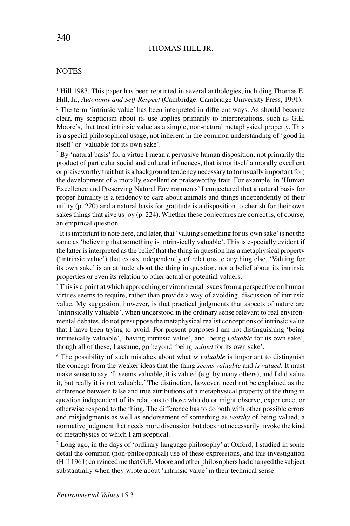# **NOTES**

 $\frac{1}{2}$  Hill 1983. This paper has been reprinted in several anthologies, including Thomas E. Hill, Jr., Autonomy and Self-Respect (Cambridge: Cambridge University Press, 1991).

<sup>2</sup> The term 'intrinsic value' has been interpreted in different ways. As should become clear, my scepticism about its use applies primarily to interpretations, such as G.E. Moore's, that treat intrinsic value as a simple, non-natural metaphysical property. This is a special philosophical usage, not inherent in the common understanding of 'good in itself' or 'valuable for its own sake'.

<sup>3</sup> By 'natural basis' for a virtue I mean a pervasive human disposition, not primarily the product of particular social and cultural influences, that is not itself a morally excellent or praiseworthy trait but is a background tendency necessary to (or usually important for) the development of a morally excellent or praiseworthy trait. For example, in 'Human Excellence and Preserving Natural Environments' I conjectured that a natural basis for proper humility is a tendency to care about animals and things independently of their utility (p. 220) and a natural basis for gratitude is a disposition to cherish for their own sakes things that give us joy (p. 224). Whether these conjectures are correct is, of course, an empirical question.

<sup>4</sup> It is important to note here, and later, that 'valuing something for its own sake' is not the same as 'believing that something is intrinsically valuable'. This is especially evident if the latter is interpreted as the belief that the thing in question has a metaphysical property ('intrinsic value') that exists independently of relations to anything else. 'Valuing for its own sake' is an attitude about the thing in question, not a belief about its intrinsic properties or even its relation to other actual or potential valuers.

<sup>5</sup> This is a point at which approaching environmental issues from a perspective on human virtues seems to require, rather than provide a way of avoiding, discussion of intrinsic value. My suggestion, however, is that practical judgments that aspects of nature are 'intrinsically valuable', when understood in the ordinary sense relevant to real environmental debates, do not presuppose the metaphysical realist conceptions of intrinsic value that I have been trying to avoid. For present purposes I am not distinguishing 'being intrinsically valuable', 'having intrinsic value', and 'being *valuable* for its own sake'. though all of these, I assume, go beyond 'being valued for its own sake'.

<sup>6</sup> The possibility of such mistakes about what *is valuable* is important to distinguish the concept from the weaker ideas that the thing seems valuable and is valued. It must make sense to say, 'It seems valuable, it is valued (e.g. by many others), and I did value it, but really it is not valuable.' The distinction, however, need not be explained as the difference between false and true attributions of a metaphysical property of the thing in question independent of its relations to those who do or might observe, experience, or otherwise respond to the thing. The difference has to do both with other possible errors and misjudgments as well as endorsement of something as *worthy* of being valued, a normative judgment that needs more discussion but does not necessarily invoke the kind of metaphysics of which I am sceptical.

<sup>7</sup> Long ago, in the days of 'ordinary language philosophy' at Oxford, I studied in some detail the common (non-philosophical) use of these expressions, and this investigation (Hill 1961) convinced me that G.E. Moore and other philosophers had changed the subject substantially when they wrote about 'intrinsic value' in their technical sense.